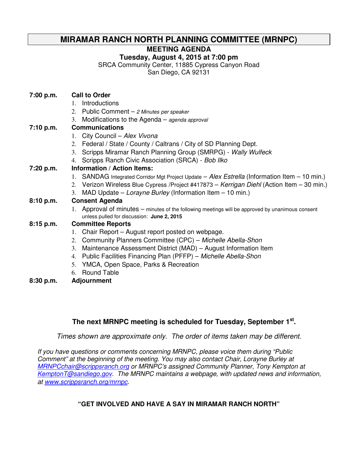# **MIRAMAR RANCH NORTH PLANNING COMMITTEE (MRNPC)**

**MEETING AGENDA** 

**Tuesday, August 4, 2015 at 7:00 pm** 

SRCA Community Center, 11885 Cypress Canyon Road

San Diego, CA 92131

| <b>Call to Order</b><br>7:00 p.m. |
|-----------------------------------|
|-----------------------------------|

- 1. Introductions
- 2. Public Comment  $-$  2 Minutes per speaker
- 3. Modifications to the Agenda agenda approval

#### **7:10 p.m. Communications**

- 1. City Council Alex Vivona
- 2. Federal / State / County / Caltrans / City of SD Planning Dept.
- 3. Scripps Miramar Ranch Planning Group (SMRPG) Wally Wulfeck
- 4. Scripps Ranch Civic Association (SRCA) Bob Ilko

#### **7:20 p.m. Information / Action Items:**

- 1. SANDAG Integrated Corridor Mgt Project Update Alex Estrella (Information Item 10 min.)
- 2. Verizon Wireless Blue Cypress / Project #417873 Kerrigan Diehl (Action Item 30 min.)
- 3. MAD Update Lorayne Burley (Information Item 10 min.)

#### **8:10 p.m. Consent Agenda**

1. Approval of minutes – minutes of the following meetings will be approved by unanimous consent unless pulled for discussion: **June 2, 2015**

#### **8:15 p.m. Committee Reports**

- 1. Chair Report August report posted on webpage.
- 2. Community Planners Committee (CPC) Michelle Abella-Shon
- 3. Maintenance Assessment District (MAD) August Information Item
- 4. Public Facilities Financing Plan (PFFP) Michelle Abella-Shon
- 5. YMCA, Open Space, Parks & Recreation
- 6. Round Table
- **8:30 p.m. Adjournment**

### **The next MRNPC meeting is scheduled for Tuesday, September 1st .**

Times shown are approximate only. The order of items taken may be different.

If you have questions or comments concerning MRNPC, please voice them during "Public Comment" at the beginning of the meeting. You may also contact Chair, Lorayne Burley at MRNPCchair@scrippsranch.org or MRNPC's assigned Community Planner, Tony Kempton at KemptonT@sandiego.gov. The MRNPC maintains a webpage, with updated news and information, at www.scrippsranch.org/mrnpc.

#### **"GET INVOLVED AND HAVE A SAY IN MIRAMAR RANCH NORTH"**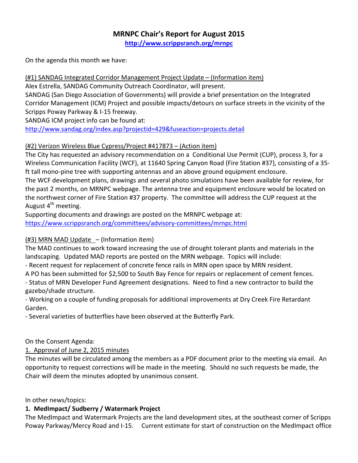#### MRNPC Chair's Report for August 2015 http://www.scrippsranch.org/mrnpc

On the agenda this month we have:

### (#1) SANDAG Integrated Corridor Management Project Update – (Information item)

Alex Estrella, SANDAG Community Outreach Coordinator, will present.

SANDAG (San Diego Association of Governments) will provide a brief presentation on the Integrated Corridor Management (ICM) Project and possible impacts/detours on surface streets in the vicinity of the Scripps Poway Parkway & I-15 freeway.

SANDAG ICM project info can be found at:

http://www.sandag.org/index.asp?projectid=429&fuseaction=projects.detail

### (#2) Verizon Wireless Blue Cypress/Project #417873 – (Action item)

The City has requested an advisory recommendation on a Conditional Use Permit (CUP), process 3, for a Wireless Communication Facility (WCF), at 11640 Spring Canyon Road (Fire Station #37), consisting of a 35 ft tall mono-pine tree with supporting antennas and an above ground equipment enclosure. The WCF development plans, drawings and several photo simulations have been available for review, for the past 2 months, on MRNPC webpage. The antenna tree and equipment enclosure would be located on the northwest corner of Fire Station #37 property. The committee will address the CUP request at the August  $4<sup>th</sup>$  meeting.

Supporting documents and drawings are posted on the MRNPC webpage at: https://www.scrippsranch.org/committees/advisory-committees/mrnpc.html

### (#3) MRN MAD Update – (Information item)

The MAD continues to work toward increasing the use of drought tolerant plants and materials in the landscaping. Updated MAD reports are posted on the MRN webpage. Topics will include:

- Recent request for replacement of concrete fence rails in MRN open space by MRN resident.

A PO has been submitted for \$2,500 to South Bay Fence for repairs or replacement of cement fences.

- Status of MRN Developer Fund Agreement designations. Need to find a new contractor to build the gazebo/shade structure.

- Working on a couple of funding proposals for additional improvements at Dry Creek Fire Retardant Garden.

- Several varieties of butterflies have been observed at the Butterfly Park.

On the Consent Agenda:

### 1. Approval of June 2, 2015 minutes

The minutes will be circulated among the members as a PDF document prior to the meeting via email. An opportunity to request corrections will be made in the meeting. Should no such requests be made, the Chair will deem the minutes adopted by unanimous consent.

In other news/topics:

# 1. MedImpact/ Sudberry / Watermark Project

The MedImpact and Watermark Projects are the land development sites, at the southeast corner of Scripps Poway Parkway/Mercy Road and I-15. Current estimate for start of construction on the MedImpact office